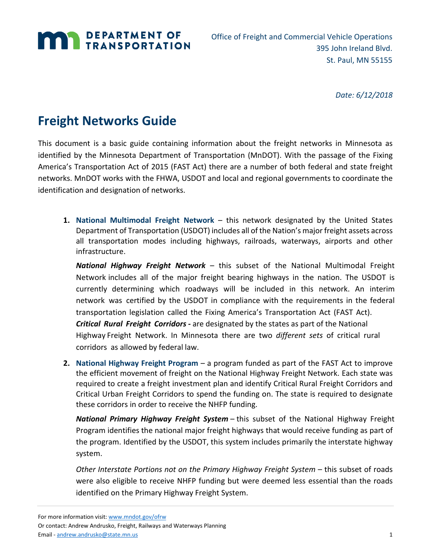

Office of Freight and Commercial Vehicle Operations 395 John Ireland Blvd. St. Paul, MN 55155

*Date: 6/12/2018*

# **Freight Networks Guide**

This document is a basic guide containing information about the freight networks in Minnesota as identified by the Minnesota Department of Transportation (MnDOT). With the passage of the Fixing America's Transportation Act of 2015 (FAST Act) there are a number of both federal and state freight networks. MnDOT works with the FHWA, USDOT and local and regional governments to coordinate the identification and designation of networks.

**1. National Multimodal Freight Network** – this network designated by the United States Department of Transportation (USDOT) includes all of the Nation's major freight assets across all transportation modes including highways, railroads, waterways, airports and other infrastructure.

*National Highway Freight Network* – this subset of the National Multimodal Freight Network includes all of the major freight bearing highways in the nation. The USDOT is currently determining which roadways will be included in this network. An interim network was certified by the USDOT in compliance with the requirements in the federal transportation legislation called the Fixing America's Transportation Act (FAST Act). *Critical Rural Freight Corridors -* are designated by the states as part of the National Highway Freight Network. In Minnesota there are two *different sets* of critical rural corridors as allowed by federal law.

**2. National Highway Freight Program** – a program funded as part of the FAST Act to improve the efficient movement of freight on the National Highway Freight Network. Each state was required to create a freight investment plan and identify Critical Rural Freight Corridors and Critical Urban Freight Corridors to spend the funding on. The state is required to designate these corridors in order to receive the NHFP funding.

*National Primary Highway Freight System* – this subset of the National Highway Freight Program identifies the national major freight highways that would receive funding as part of the program. Identified by the USDOT, this system includes primarily the interstate highway system.

*Other Interstate Portions not on the Primary Highway Freight System* – this subset of roads were also eligible to receive NHFP funding but were deemed less essential than the roads identified on the Primary Highway Freight System.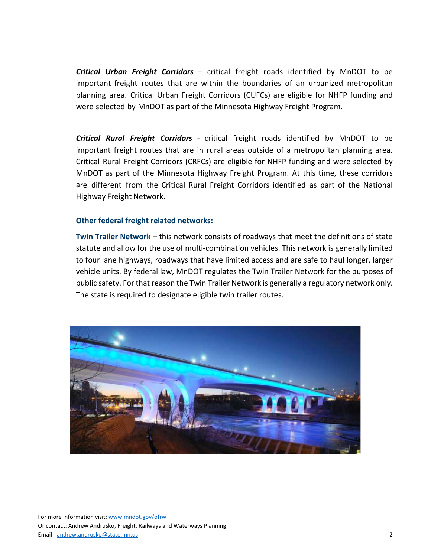*Critical Urban Freight Corridors –* critical freight roads identified by MnDOT to be important freight routes that are within the boundaries of an urbanized metropolitan planning area. Critical Urban Freight Corridors (CUFCs) are eligible for NHFP funding and were selected by MnDOT as part of the Minnesota Highway Freight Program.

*Critical Rural Freight Corridors -* critical freight roads identified by MnDOT to be important freight routes that are in rural areas outside of a metropolitan planning area. Critical Rural Freight Corridors (CRFCs) are eligible for NHFP funding and were selected by MnDOT as part of the Minnesota Highway Freight Program. At this time, these corridors are different from the Critical Rural Freight Corridors identified as part of the National Highway Freight Network.

### **Other federal freight related networks:**

**Twin Trailer Network –** this network consists of roadways that meet the definitions of state statute and allow for the use of multi-combination vehicles. This network is generally limited to four lane highways, roadways that have limited access and are safe to haul longer, larger vehicle units. By federal law, MnDOT regulates the Twin Trailer Network for the purposes of public safety. For that reason the Twin Trailer Network is generally a regulatory network only. The state is required to designate eligible twin trailer routes.

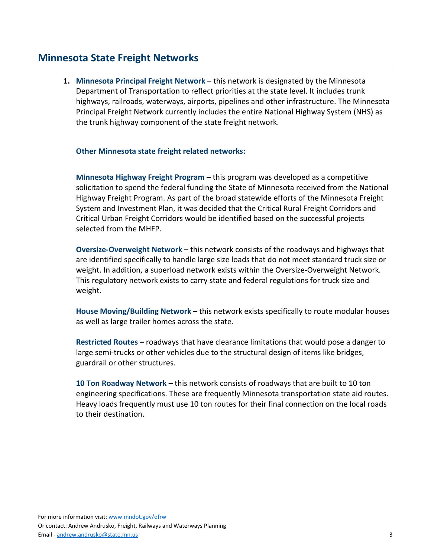### **Minnesota State Freight Networks**

**1. Minnesota Principal Freight Network** – this network is designated by the Minnesota Department of Transportation to reflect priorities at the state level. It includes trunk highways, railroads, waterways, airports, pipelines and other infrastructure. The Minnesota Principal Freight Network currently includes the entire National Highway System (NHS) as the trunk highway component of the state freight network.

#### **Other Minnesota state freight related networks:**

**Minnesota Highway Freight Program –** this program was developed as a competitive solicitation to spend the federal funding the State of Minnesota received from the National Highway Freight Program. As part of the broad statewide efforts of the Minnesota Freight System and Investment Plan, it was decided that the Critical Rural Freight Corridors and Critical Urban Freight Corridors would be identified based on the successful projects selected from the MHFP.

**Oversize-Overweight Network –** this network consists of the roadways and highways that are identified specifically to handle large size loads that do not meet standard truck size or weight. In addition, a superload network exists within the Oversize-Overweight Network. This regulatory network exists to carry state and federal regulations for truck size and weight.

**House Moving/Building Network –** this network exists specifically to route modular houses as well as large trailer homes across the state.

**Restricted Routes –** roadways that have clearance limitations that would pose a danger to large semi-trucks or other vehicles due to the structural design of items like bridges, guardrail or other structures.

**10 Ton Roadway Network** – this network consists of roadways that are built to 10 ton engineering specifications. These are frequently Minnesota transportation state aid routes. Heavy loads frequently must use 10 ton routes for their final connection on the local roads to their destination.